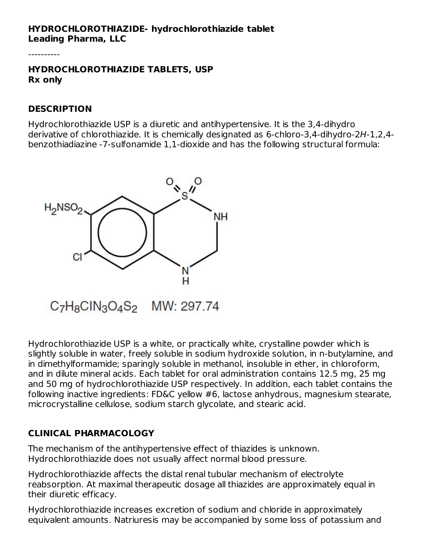#### **HYDROCHLOROTHIAZIDE- hydrochlorothiazide tablet Leading Pharma, LLC**

----------

#### **HYDROCHLOROTHIAZIDE TABLETS, USP Rx only**

#### **DESCRIPTION**

Hydrochlorothiazide USP is a diuretic and antihypertensive. It is the 3,4-dihydro derivative of chlorothiazide. It is chemically designated as 6-chloro-3,4-dihydro-2H-1,2,4 benzothiadiazine -7-sulfonamide 1,1-dioxide and has the following structural formula:



Hydrochlorothiazide USP is a white, or practically white, crystalline powder which is slightly soluble in water, freely soluble in sodium hydroxide solution, in n-butylamine, and in dimethylformamide; sparingly soluble in methanol, insoluble in ether, in chloroform, and in dilute mineral acids. Each tablet for oral administration contains 12.5 mg, 25 mg and 50 mg of hydrochlorothiazide USP respectively. In addition, each tablet contains the following inactive ingredients: FD&C yellow #6, lactose anhydrous, magnesium stearate, microcrystalline cellulose, sodium starch glycolate, and stearic acid.

### **CLINICAL PHARMACOLOGY**

The mechanism of the antihypertensive effect of thiazides is unknown. Hydrochlorothiazide does not usually affect normal blood pressure.

Hydrochlorothiazide affects the distal renal tubular mechanism of electrolyte reabsorption. At maximal therapeutic dosage all thiazides are approximately equal in their diuretic efficacy.

Hydrochlorothiazide increases excretion of sodium and chloride in approximately equivalent amounts. Natriuresis may be accompanied by some loss of potassium and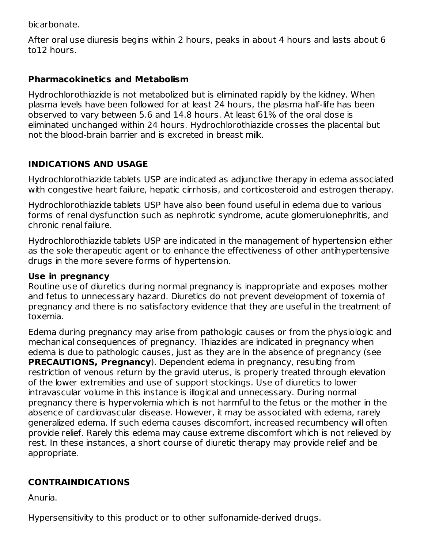bicarbonate.

After oral use diuresis begins within 2 hours, peaks in about 4 hours and lasts about 6 to12 hours.

#### **Pharmacokinetics and Metabolism**

Hydrochlorothiazide is not metabolized but is eliminated rapidly by the kidney. When plasma levels have been followed for at least 24 hours, the plasma half-life has been observed to vary between 5.6 and 14.8 hours. At least 61% of the oral dose is eliminated unchanged within 24 hours. Hydrochlorothiazide crosses the placental but not the blood-brain barrier and is excreted in breast milk.

### **INDICATIONS AND USAGE**

Hydrochlorothiazide tablets USP are indicated as adjunctive therapy in edema associated with congestive heart failure, hepatic cirrhosis, and corticosteroid and estrogen therapy.

Hydrochlorothiazide tablets USP have also been found useful in edema due to various forms of renal dysfunction such as nephrotic syndrome, acute glomerulonephritis, and chronic renal failure.

Hydrochlorothiazide tablets USP are indicated in the management of hypertension either as the sole therapeutic agent or to enhance the effectiveness of other antihypertensive drugs in the more severe forms of hypertension.

#### **Use in pregnancy**

Routine use of diuretics during normal pregnancy is inappropriate and exposes mother and fetus to unnecessary hazard. Diuretics do not prevent development of toxemia of pregnancy and there is no satisfactory evidence that they are useful in the treatment of toxemia.

Edema during pregnancy may arise from pathologic causes or from the physiologic and mechanical consequences of pregnancy. Thiazides are indicated in pregnancy when edema is due to pathologic causes, just as they are in the absence of pregnancy (see **PRECAUTIONS, Pregnancy**). Dependent edema in pregnancy, resulting from restriction of venous return by the gravid uterus, is properly treated through elevation of the lower extremities and use of support stockings. Use of diuretics to lower intravascular volume in this instance is illogical and unnecessary. During normal pregnancy there is hypervolemia which is not harmful to the fetus or the mother in the absence of cardiovascular disease. However, it may be associated with edema, rarely generalized edema. If such edema causes discomfort, increased recumbency will often provide relief. Rarely this edema may cause extreme discomfort which is not relieved by rest. In these instances, a short course of diuretic therapy may provide relief and be appropriate.

### **CONTRAINDICATIONS**

Anuria.

Hypersensitivity to this product or to other sulfonamide-derived drugs.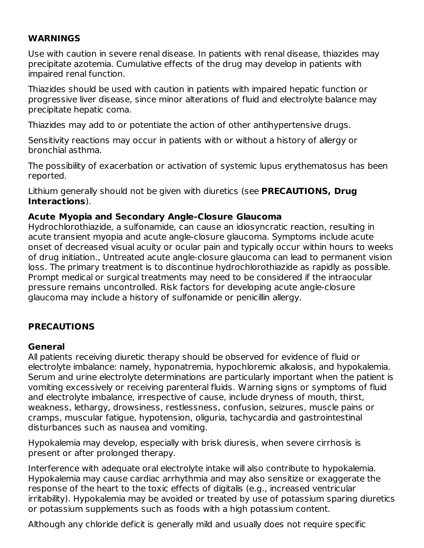#### **WARNINGS**

Use with caution in severe renal disease. In patients with renal disease, thiazides may precipitate azotemia. Cumulative effects of the drug may develop in patients with impaired renal function.

Thiazides should be used with caution in patients with impaired hepatic function or progressive liver disease, since minor alterations of fluid and electrolyte balance may precipitate hepatic coma.

Thiazides may add to or potentiate the action of other antihypertensive drugs.

Sensitivity reactions may occur in patients with or without a history of allergy or bronchial asthma.

The possibility of exacerbation or activation of systemic lupus erythematosus has been reported.

Lithium generally should not be given with diuretics (see **PRECAUTIONS, Drug Interactions**).

#### **Acute Myopia and Secondary Angle-Closure Glaucoma**

Hydrochlorothiazide, a sulfonamide, can cause an idiosyncratic reaction, resulting in acute transient myopia and acute angle-closure glaucoma. Symptoms include acute onset of decreased visual acuity or ocular pain and typically occur within hours to weeks of drug initiation., Untreated acute angle-closure glaucoma can lead to permanent vision loss. The primary treatment is to discontinue hydrochlorothiazide as rapidly as possible. Prompt medical or surgical treatments may need to be considered if the intraocular pressure remains uncontrolled. Risk factors for developing acute angle-closure glaucoma may include a history of sulfonamide or penicillin allergy.

### **PRECAUTIONS**

#### **General**

All patients receiving diuretic therapy should be observed for evidence of fluid or electrolyte imbalance: namely, hyponatremia, hypochloremic alkalosis, and hypokalemia. Serum and urine electrolyte determinations are particularly important when the patient is vomiting excessively or receiving parenteral fluids. Warning signs or symptoms of fluid and electrolyte imbalance, irrespective of cause, include dryness of mouth, thirst, weakness, lethargy, drowsiness, restlessness, confusion, seizures, muscle pains or cramps, muscular fatigue, hypotension, oliguria, tachycardia and gastrointestinal disturbances such as nausea and vomiting.

Hypokalemia may develop, especially with brisk diuresis, when severe cirrhosis is present or after prolonged therapy.

Interference with adequate oral electrolyte intake will also contribute to hypokalemia. Hypokalemia may cause cardiac arrhythmia and may also sensitize or exaggerate the response of the heart to the toxic effects of digitalis (e.g., increased ventricular irritability). Hypokalemia may be avoided or treated by use of potassium sparing diuretics or potassium supplements such as foods with a high potassium content.

Although any chloride deficit is generally mild and usually does not require specific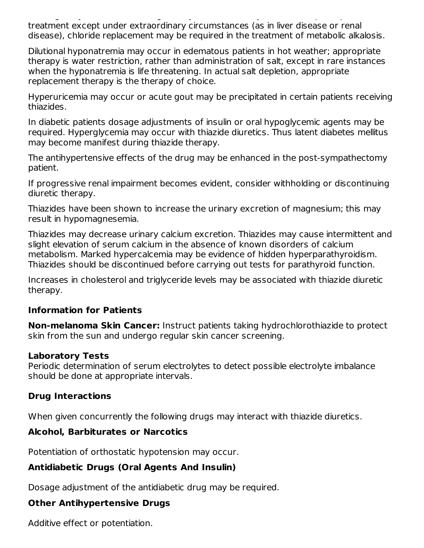Although any chloride definition any chloride definition  $\mathcal{L}_\mathbf{z}$  mild and usually does not require specifically does not require specifically does not require specifically does not require specifically does not req treatment except under extraordinary circumstances (as in liver disease or renal disease), chloride replacement may be required in the treatment of metabolic alkalosis.

Dilutional hyponatremia may occur in edematous patients in hot weather; appropriate therapy is water restriction, rather than administration of salt, except in rare instances when the hyponatremia is life threatening. In actual salt depletion, appropriate replacement therapy is the therapy of choice.

Hyperuricemia may occur or acute gout may be precipitated in certain patients receiving thiazides.

In diabetic patients dosage adjustments of insulin or oral hypoglycemic agents may be required. Hyperglycemia may occur with thiazide diuretics. Thus latent diabetes mellitus may become manifest during thiazide therapy.

The antihypertensive effects of the drug may be enhanced in the post-sympathectomy patient.

If progressive renal impairment becomes evident, consider withholding or discontinuing diuretic therapy.

Thiazides have been shown to increase the urinary excretion of magnesium; this may result in hypomagnesemia.

Thiazides may decrease urinary calcium excretion. Thiazides may cause intermittent and slight elevation of serum calcium in the absence of known disorders of calcium metabolism. Marked hypercalcemia may be evidence of hidden hyperparathyroidism. Thiazides should be discontinued before carrying out tests for parathyroid function.

Increases in cholesterol and triglyceride levels may be associated with thiazide diuretic therapy.

#### **Information for Patients**

**Non-melanoma Skin Cancer:** Instruct patients taking hydrochlorothiazide to protect skin from the sun and undergo regular skin cancer screening.

#### **Laboratory Tests**

Periodic determination of serum electrolytes to detect possible electrolyte imbalance should be done at appropriate intervals.

### **Drug Interactions**

When given concurrently the following drugs may interact with thiazide diuretics.

### **Alcohol, Barbiturates or Narcotics**

Potentiation of orthostatic hypotension may occur.

### **Antidiabetic Drugs (Oral Agents And Insulin)**

Dosage adjustment of the antidiabetic drug may be required.

### **Other Antihypertensive Drugs**

Additive effect or potentiation.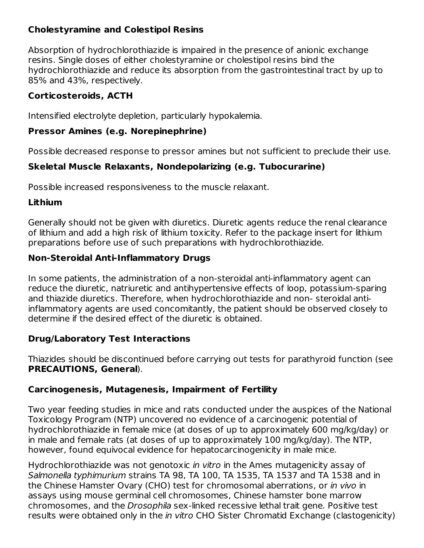### **Cholestyramine and Colestipol Resins**

Absorption of hydrochlorothiazide is impaired in the presence of anionic exchange resins. Single doses of either cholestyramine or cholestipol resins bind the hydrochlorothiazide and reduce its absorption from the gastrointestinal tract by up to 85% and 43%, respectively.

#### **Corticosteroids, ACTH**

Intensified electrolyte depletion, particularly hypokalemia.

### **Pressor Amines (e.g. Norepinephrine)**

Possible decreased response to pressor amines but not sufficient to preclude their use.

### **Skeletal Muscle Relaxants, Nondepolarizing (e.g. Tubocurarine)**

Possible increased responsiveness to the muscle relaxant.

### **Lithium**

Generally should not be given with diuretics. Diuretic agents reduce the renal clearance of lithium and add a high risk of lithium toxicity. Refer to the package insert for lithium preparations before use of such preparations with hydrochlorothiazide.

### **Non-Steroidal Anti-Inflammatory Drugs**

In some patients, the administration of a non-steroidal anti-inflammatory agent can reduce the diuretic, natriuretic and antihypertensive effects of loop, potassium-sparing and thiazide diuretics. Therefore, when hydrochlorothiazide and non- steroidal antiinflammatory agents are used concomitantly, the patient should be observed closely to determine if the desired effect of the diuretic is obtained.

### **Drug/Laboratory Test Interactions**

Thiazides should be discontinued before carrying out tests for parathyroid function (see **PRECAUTIONS, General**).

### **Carcinogenesis, Mutagenesis, Impairment of Fertility**

Two year feeding studies in mice and rats conducted under the auspices of the National Toxicology Program (NTP) uncovered no evidence of a carcinogenic potential of hydrochlorothiazide in female mice (at doses of up to approximately 600 mg/kg/day) or in male and female rats (at doses of up to approximately 100 mg/kg/day). The NTP, however, found equivocal evidence for hepatocarcinogenicity in male mice.

Hydrochlorothiazide was not genotoxic in vitro in the Ames mutagenicity assay of Salmonella typhimurium strains TA 98, TA 100, TA 1535, TA 1537 and TA 1538 and in the Chinese Hamster Ovary (CHO) test for chromosomal aberrations, or in vivo in assays using mouse germinal cell chromosomes, Chinese hamster bone marrow chromosomes, and the Drosophila sex-linked recessive lethal trait gene. Positive test results were obtained only in the *in vitro* CHO Sister Chromatid Exchange (clastogenicity)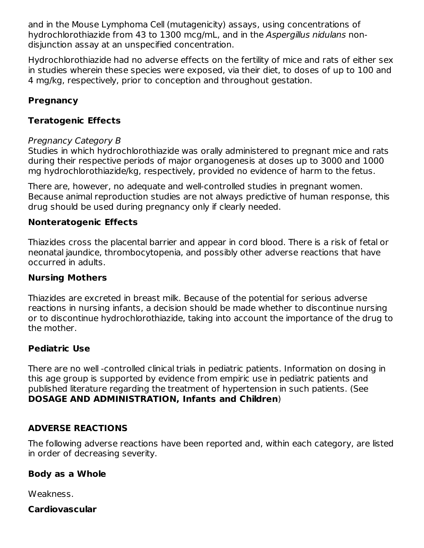and in the Mouse Lymphoma Cell (mutagenicity) assays, using concentrations of hydrochlorothiazide from 43 to 1300 mcg/mL, and in the Aspergillus nidulans nondisjunction assay at an unspecified concentration.

Hydrochlorothiazide had no adverse effects on the fertility of mice and rats of either sex in studies wherein these species were exposed, via their diet, to doses of up to 100 and 4 mg/kg, respectively, prior to conception and throughout gestation.

### **Pregnancy**

### **Teratogenic Effects**

### Pregnancy Category B

Studies in which hydrochlorothiazide was orally administered to pregnant mice and rats during their respective periods of major organogenesis at doses up to 3000 and 1000 mg hydrochlorothiazide/kg, respectively, provided no evidence of harm to the fetus.

There are, however, no adequate and well-controlled studies in pregnant women. Because animal reproduction studies are not always predictive of human response, this drug should be used during pregnancy only if clearly needed.

#### **Nonteratogenic Effects**

Thiazides cross the placental barrier and appear in cord blood. There is a risk of fetal or neonatal jaundice, thrombocytopenia, and possibly other adverse reactions that have occurred in adults.

#### **Nursing Mothers**

Thiazides are excreted in breast milk. Because of the potential for serious adverse reactions in nursing infants, a decision should be made whether to discontinue nursing or to discontinue hydrochlorothiazide, taking into account the importance of the drug to the mother.

### **Pediatric Use**

There are no well -controlled clinical trials in pediatric patients. Information on dosing in this age group is supported by evidence from empiric use in pediatric patients and published literature regarding the treatment of hypertension in such patients. (See **DOSAGE AND ADMINISTRATION, Infants and Children**)

### **ADVERSE REACTIONS**

The following adverse reactions have been reported and, within each category, are listed in order of decreasing severity.

### **Body as a Whole**

Weakness.

**Cardiovascular**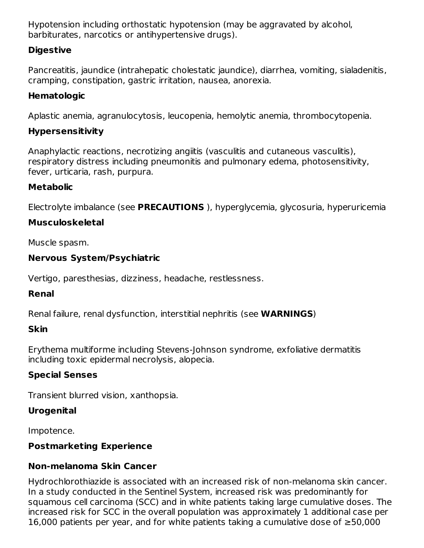Hypotension including orthostatic hypotension (may be aggravated by alcohol, barbiturates, narcotics or antihypertensive drugs).

### **Digestive**

Pancreatitis, jaundice (intrahepatic cholestatic jaundice), diarrhea, vomiting, sialadenitis, cramping, constipation, gastric irritation, nausea, anorexia.

#### **Hematologic**

Aplastic anemia, agranulocytosis, leucopenia, hemolytic anemia, thrombocytopenia.

### **Hypersensitivity**

Anaphylactic reactions, necrotizing angiitis (vasculitis and cutaneous vasculitis), respiratory distress including pneumonitis and pulmonary edema, photosensitivity, fever, urticaria, rash, purpura.

#### **Metabolic**

Electrolyte imbalance (see **PRECAUTIONS** ), hyperglycemia, glycosuria, hyperuricemia

### **Musculoskeletal**

Muscle spasm.

#### **Nervous System/Psychiatric**

Vertigo, paresthesias, dizziness, headache, restlessness.

#### **Renal**

Renal failure, renal dysfunction, interstitial nephritis (see **WARNINGS**)

#### **Skin**

Erythema multiforme including Stevens-Johnson syndrome, exfoliative dermatitis including toxic epidermal necrolysis, alopecia.

### **Special Senses**

Transient blurred vision, xanthopsia.

### **Urogenital**

Impotence.

### **Postmarketing Experience**

### **Non-melanoma Skin Cancer**

Hydrochlorothiazide is associated with an increased risk of non-melanoma skin cancer. In a study conducted in the Sentinel System, increased risk was predominantly for squamous cell carcinoma (SCC) and in white patients taking large cumulative doses. The increased risk for SCC in the overall population was approximately 1 additional case per 16,000 patients per year, and for white patients taking a cumulative dose of ≥50,000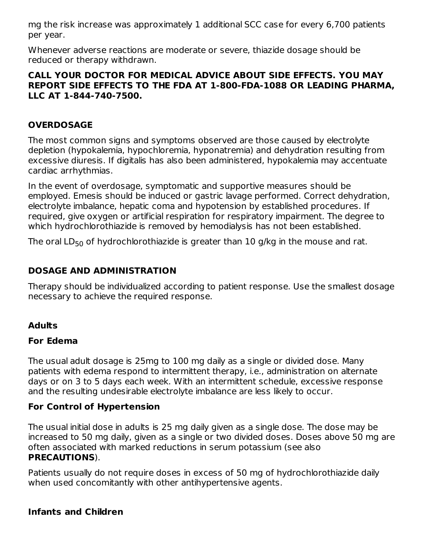mg the risk increase was approximately 1 additional SCC case for every 6,700 patients per year.

Whenever adverse reactions are moderate or severe, thiazide dosage should be reduced or therapy withdrawn.

#### **CALL YOUR DOCTOR FOR MEDICAL ADVICE ABOUT SIDE EFFECTS. YOU MAY REPORT SIDE EFFECTS TO THE FDA AT 1-800-FDA-1088 OR LEADING PHARMA, LLC AT 1-844-740-7500.**

### **OVERDOSAGE**

The most common signs and symptoms observed are those caused by electrolyte depletion (hypokalemia, hypochloremia, hyponatremia) and dehydration resulting from excessive diuresis. If digitalis has also been administered, hypokalemia may accentuate cardiac arrhythmias.

In the event of overdosage, symptomatic and supportive measures should be employed. Emesis should be induced or gastric lavage performed. Correct dehydration, electrolyte imbalance, hepatic coma and hypotension by established procedures. If required, give oxygen or artificial respiration for respiratory impairment. The degree to which hydrochlorothiazide is removed by hemodialysis has not been established.

The oral  $\mathsf{LD}_{50}$  of hydrochlorothiazide is greater than  $10$  g/kg in the mouse and rat.

### **DOSAGE AND ADMINISTRATION**

Therapy should be individualized according to patient response. Use the smallest dosage necessary to achieve the required response.

### **Adults**

#### **For Edema**

The usual adult dosage is 25mg to 100 mg daily as a single or divided dose. Many patients with edema respond to intermittent therapy, i.e., administration on alternate days or on 3 to 5 days each week. With an intermittent schedule, excessive response and the resulting undesirable electrolyte imbalance are less likely to occur.

### **For Control of Hypertension**

The usual initial dose in adults is 25 mg daily given as a single dose. The dose may be increased to 50 mg daily, given as a single or two divided doses. Doses above 50 mg are often associated with marked reductions in serum potassium (see also **PRECAUTIONS**).

Patients usually do not require doses in excess of 50 mg of hydrochlorothiazide daily when used concomitantly with other antihypertensive agents.

### **Infants and Children**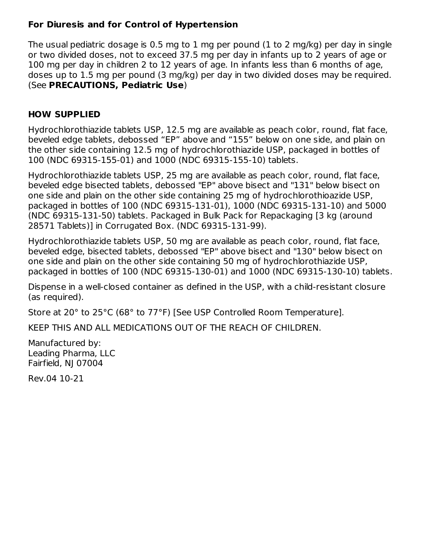#### **For Diuresis and for Control of Hypertension**

The usual pediatric dosage is 0.5 mg to 1 mg per pound (1 to 2 mg/kg) per day in single or two divided doses, not to exceed 37.5 mg per day in infants up to 2 years of age or 100 mg per day in children 2 to 12 years of age. In infants less than 6 months of age, doses up to 1.5 mg per pound (3 mg/kg) per day in two divided doses may be required. (See **PRECAUTIONS, Pediatric Use**)

#### **HOW SUPPLIED**

Hydrochlorothiazide tablets USP, 12.5 mg are available as peach color, round, flat face, beveled edge tablets, debossed "EP" above and "155" below on one side, and plain on the other side containing 12.5 mg of hydrochlorothiazide USP, packaged in bottles of 100 (NDC 69315-155-01) and 1000 (NDC 69315-155-10) tablets.

Hydrochlorothiazide tablets USP, 25 mg are available as peach color, round, flat face, beveled edge bisected tablets, debossed "EP" above bisect and "131" below bisect on one side and plain on the other side containing 25 mg of hydrochlorothioazide USP, packaged in bottles of 100 (NDC 69315-131-01), 1000 (NDC 69315-131-10) and 5000 (NDC 69315-131-50) tablets. Packaged in Bulk Pack for Repackaging [3 kg (around 28571 Tablets)] in Corrugated Box. (NDC 69315-131-99).

Hydrochlorothiazide tablets USP, 50 mg are available as peach color, round, flat face, beveled edge, bisected tablets, debossed "EP" above bisect and "130" below bisect on one side and plain on the other side containing 50 mg of hydrochlorothiazide USP, packaged in bottles of 100 (NDC 69315-130-01) and 1000 (NDC 69315-130-10) tablets.

Dispense in a well-closed container as defined in the USP, with a child-resistant closure (as required).

Store at 20° to 25°C (68° to 77°F) [See USP Controlled Room Temperature].

KEEP THIS AND ALL MEDICATIONS OUT OF THE REACH OF CHILDREN.

Manufactured by: Leading Pharma, LLC Fairfield, NJ 07004

Rev.04 10-21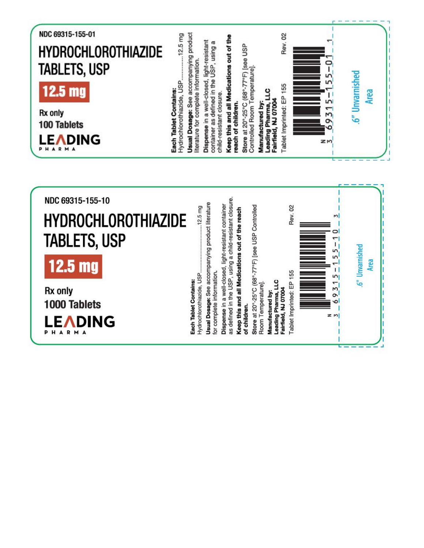| NDC 69315-155-01<br><b>HYDROCHLOROTHIAZIDE</b><br>TABLETS, USP<br>12.5 <sub>mg</sub><br>Rx only<br><b>100 Tablets</b><br><b>EADING</b><br>R<br>м      | .12.5 <sub>mg</sub><br>-lydrochlorothiazide, USP<br>Each Tablet Contains: | <b>Jsual Dosage: See accompanying product</b><br>iterature for complete information | Dispense in a well-closed, light-resistant<br>container as defined in the USP, using a<br>child-resistant closure. | Keep this and all Medications out of the<br>each of children.                                                   | Store at 20°-25°C (68°-77°F) [see USP<br>Controlled Room Temperature] | Manufactured by:                                                      | 11<br>1<br>Fairfield, NJ 07004<br>.eading Pharma, | Rev. 02<br>Tablet Imprinted: EP 155                        | 55<br>$\overline{5}$<br>$\overline{ }$<br>$\overline{M}$<br>ò<br>zm              | 6" Unvarnished | Area |  |
|-------------------------------------------------------------------------------------------------------------------------------------------------------|---------------------------------------------------------------------------|-------------------------------------------------------------------------------------|--------------------------------------------------------------------------------------------------------------------|-----------------------------------------------------------------------------------------------------------------|-----------------------------------------------------------------------|-----------------------------------------------------------------------|---------------------------------------------------|------------------------------------------------------------|----------------------------------------------------------------------------------|----------------|------|--|
| NDC 69315-155-10<br><b>HYDROCHLOROTHIAZIDE</b><br><b>TABLETS, USP</b><br>12.5 <sub>mg</sub><br><b>Rx only</b><br>1000 Tablets<br>EADING<br>R M A<br>A |                                                                           | $2.5 \mathrm{mg}$<br>Hydrochlorothiazide, USP<br>Each Tablet Contains:              | Usual Dosage: See accompanying product literature<br>for complete information.                                     | as defined in the USP, using a child-resistant closure.<br>Dispense in a well-closed, light-resistant container | Keep this and all Medications out of the reach<br>of children.        | Store at 20°-25°C (68°-77°F) [see USP Controlled<br>Room Temperature] | Leading Pharma, LLC<br>Manufactured by:           | Rev. 02<br>Tablet Imprinted: EP 155<br>Fairfield, NJ 07004 | m<br>П<br>5<br>m<br>П<br>5<br>$\overline{51}$<br>$\sim$<br>۰ol<br>z <sub>m</sub> | 6" Unvarnished | Area |  |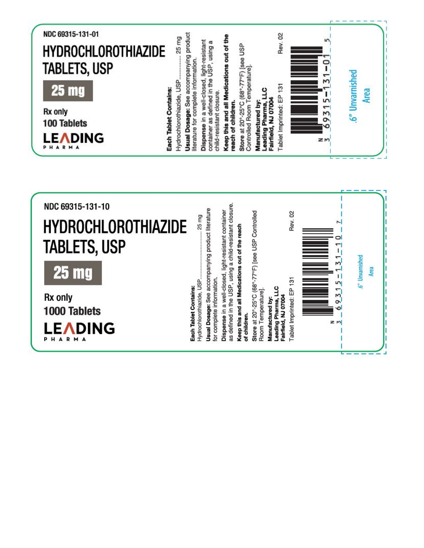| NDC 69315-131-01              |        |                     |                        |                          |                  |                    |         | 8                    | ιη                      |       |      |
|-------------------------------|--------|---------------------|------------------------|--------------------------|------------------|--------------------|---------|----------------------|-------------------------|-------|------|
| <b>HYDROCHLOROTHIAZIDE</b>    |        | 25 mg               | produc                 | -resistant<br>π<br>using |                  | <b>usp</b>         |         | Rev.                 |                         |       |      |
| TABLETS, USP                  |        |                     | g<br>mation            | Ħ<br>ō                   | ations out of th | see<br>க           |         |                      |                         |       |      |
| <b>25 mg</b>                  |        |                     | Into                   | o                        |                  | mperatu<br>စိစ     |         | $\frac{131}{2}$<br>⊞ | M<br>i<br>Tanzania<br>5 | rnisi | Area |
| <b>Rx only</b>                |        | <b>Norothiazide</b> | 뎥                      |                          |                  | moo                | 8<br>5  | Imprinted:           | M                       |       |      |
| 100 Tablets                   | Tablet |                     |                        |                          |                  |                    |         |                      | ᡡ                       |       |      |
| <b>LEADING</b><br>R<br>м<br>A | Each   | lydroc              | iteratui<br><b>SUR</b> | ontain<br>믈              | eacl             | ಹ<br>ontro<br>tore | airmeld | ablet                | ZM                      |       |      |

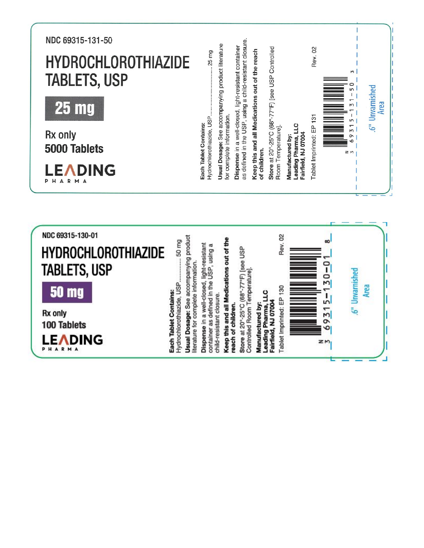| NDC 69315-131-50<br>HYDROCHLOROTHIAZIDE<br><b>TABLETS, USP</b><br>25 <sub>mg</sub><br>Rx only<br>5000 Tablets<br>EADING<br>PHARMA         |                                                                                                                                                     | 25 mg<br>-lydrochlorothiazide, USP<br>Each Tablet Contains:                               | Jsual Dosage: See accompanying product literature<br>or complete information. | as defined in the USP, using a child-resistant closure.<br>Dispense in a well-closed, light-resistant container | Keep this and all Medications out of the reach<br>of children. | Store at 20°-25°C (68°-77°F) [see USP Controlled<br>Room Temperature] | Leading Pharma, LLC<br>Fairfield, NJ 07004<br>Manufactured by: | Rev. 02<br>Tablet Imprinted: EP 131 |                                                                        | ъ<br>0<br>L)<br>$\mathbf{I}$<br>М<br>$\overline{1}$<br>5<br>$\overline{ }$<br>$\mathsf{M}$<br>$\sim$<br>Ó<br>Z M | 6" Unvarnished<br>Area |
|-------------------------------------------------------------------------------------------------------------------------------------------|-----------------------------------------------------------------------------------------------------------------------------------------------------|-------------------------------------------------------------------------------------------|-------------------------------------------------------------------------------|-----------------------------------------------------------------------------------------------------------------|----------------------------------------------------------------|-----------------------------------------------------------------------|----------------------------------------------------------------|-------------------------------------|------------------------------------------------------------------------|------------------------------------------------------------------------------------------------------------------|------------------------|
| NDC 69315-130-01<br><b>HYDROCHLOROTHIAZIDE</b><br>TABLETS, USP<br>50<br>mg<br><b>Rx only</b><br>100 Tablets<br><b>ADING</b><br><b>PHA</b> | <b>Usual Dosage:</b> See accompanying product<br>50 mg<br>literature for complete information.<br>Hydrochlorothiazide, USP<br>Each Tablet Contains: | light-resistant<br>container as defined in the USP, using a<br>Dispense in a well-closed, | Keep this and all Medications out of the<br>child-resistant closure.          | Store at 20°-25°C (68°-77°F) [see USP<br>Controlled Room Temperature]<br>reach of children.                     | Leading Pharma, LLC<br>Manufactured by:                        | Rev. 02<br>Tablet Imprinted: EP 130<br>Fairfield, NJ 07004            |                                                                |                                     | $\infty$<br>$30 - 0$<br>۱<br>5<br>$\frac{5}{1}$<br>$\sigma$<br>ó<br>ZM | 6" Unvarnished                                                                                                   | Area                   |

╘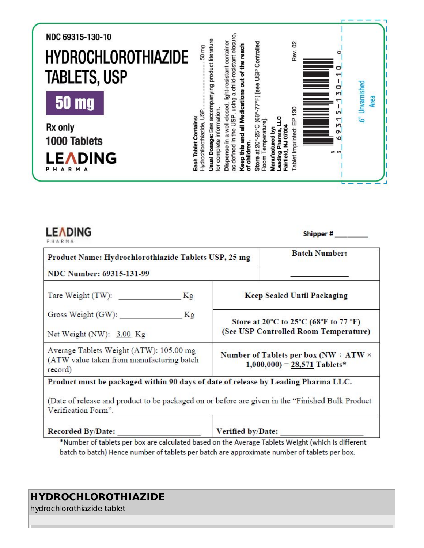| NDC 69315-130-10<br><b>HYDROCHLOROTHIAZIDE</b><br><b>TABLETS, USP</b> | 50 mg                    | See accompanying product literature | defined in the USP, using a child-resistant closure<br>light-resistant container |                                           | "-77°F) [see USP Controlled                   |                                                  | <b>Rev. 02</b>       | 0<br>c             |                       |      |
|-----------------------------------------------------------------------|--------------------------|-------------------------------------|----------------------------------------------------------------------------------|-------------------------------------------|-----------------------------------------------|--------------------------------------------------|----------------------|--------------------|-----------------------|------|
| <b>50 mg</b><br>Rx only                                               | Hydrochlorothiazide, USP | information                         | a well-closed,                                                                   | this and all Medications out of the reach | $\overline{8}$<br>Temperature]<br>at 20°-25°C | Pharma,                                          | 130                  | M<br>5<br>931<br>ó | Unvarnished<br>ٿ<br>چ | Area |
| 1000 Tablets<br><b>LEADING</b><br>A R<br>м<br>н<br>Α                  | Each Tablet Contains:    | <b>Jsual Dosage:</b><br>or complete | Dispense in<br>as                                                                | of children.<br>Keep                      | Room<br><b>Store</b>                          | Fairfield, NJ 07004<br>Manufactured by<br>eading | Tablet Imprinted: EP | z m                |                       |      |

**LEADING** PHARMA

Shipper#\_\_\_

| Product Name: Hydrochlorothiazide Tablets USP, 25 mg                                                                     |                                                                                    | <b>Batch Number:</b>                                                           |  |  |  |  |
|--------------------------------------------------------------------------------------------------------------------------|------------------------------------------------------------------------------------|--------------------------------------------------------------------------------|--|--|--|--|
| NDC Number: 69315-131-99                                                                                                 |                                                                                    |                                                                                |  |  |  |  |
| Tare Weight (TW):<br>Kg                                                                                                  |                                                                                    | <b>Keep Sealed Until Packaging</b>                                             |  |  |  |  |
| Gross Weight (GW):<br>Kg                                                                                                 |                                                                                    | Store at 20 $\rm ^{o}C$ to 25 $\rm ^{o}C$ (68 $\rm ^{o}F$ to 77 $\rm ^{o}F)$ ) |  |  |  |  |
| Net Weight (NW): 3.00 Kg                                                                                                 | (See USP Controlled Room Temperature)                                              |                                                                                |  |  |  |  |
| Average Tablets Weight (ATW): 105.00 mg<br>(ATW value taken from manufacturing batch<br>record)                          | Number of Tablets per box (NW $\div$ ATW $\times$<br>$1,000,000$ = 28,571 Tablets* |                                                                                |  |  |  |  |
| Product must be packaged within 90 days of date of release by Leading Pharma LLC.                                        |                                                                                    |                                                                                |  |  |  |  |
| (Date of release and product to be packaged on or before are given in the "Finished Bulk Product"<br>Verification Form". |                                                                                    |                                                                                |  |  |  |  |
| <b>Recorded By/Date:</b>                                                                                                 | Verified by/Date:                                                                  |                                                                                |  |  |  |  |

\*Number of tablets per box are calculated based on the Average Tablets Weight (which is different batch to batch) Hence number of tablets per batch are approximate number of tablets per box.

# **HYDROCHLOROTHIAZIDE**

hydrochlorothiazide tablet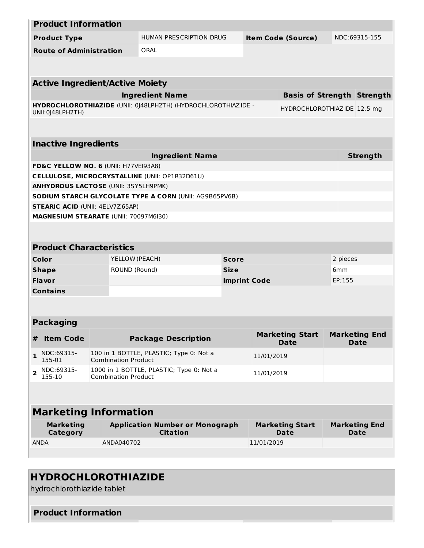|                         | <b>Product Information</b>                             |  |                                                                        |             |                                       |                             |                                   |                              |  |  |
|-------------------------|--------------------------------------------------------|--|------------------------------------------------------------------------|-------------|---------------------------------------|-----------------------------|-----------------------------------|------------------------------|--|--|
|                         | <b>Product Type</b>                                    |  | HUMAN PRESCRIPTION DRUG                                                |             |                                       | <b>Item Code (Source)</b>   |                                   | NDC:69315-155                |  |  |
|                         | <b>Route of Administration</b>                         |  | ORAL                                                                   |             |                                       |                             |                                   |                              |  |  |
|                         |                                                        |  |                                                                        |             |                                       |                             |                                   |                              |  |  |
|                         |                                                        |  |                                                                        |             |                                       |                             |                                   |                              |  |  |
|                         |                                                        |  | <b>Active Ingredient/Active Moiety</b>                                 |             |                                       |                             |                                   |                              |  |  |
|                         |                                                        |  | <b>Ingredient Name</b>                                                 |             |                                       |                             | <b>Basis of Strength Strength</b> |                              |  |  |
|                         | UNII:0J48LPH2TH)                                       |  | HYDROCHLOROTHIAZIDE (UNII: 0)48LPH2TH) (HYDROCHLOROTHIAZIDE -          |             |                                       | HYDROCHLOROTHIAZIDE 12.5 mg |                                   |                              |  |  |
|                         |                                                        |  |                                                                        |             |                                       |                             |                                   |                              |  |  |
|                         |                                                        |  |                                                                        |             |                                       |                             |                                   |                              |  |  |
|                         | <b>Inactive Ingredients</b>                            |  |                                                                        |             |                                       |                             |                                   |                              |  |  |
|                         |                                                        |  | <b>Ingredient Name</b>                                                 |             |                                       |                             |                                   | <b>Strength</b>              |  |  |
|                         |                                                        |  | FD&C YELLOW NO. 6 (UNII: H77VEI93A8)                                   |             |                                       |                             |                                   |                              |  |  |
|                         | CELLULOSE, MICROCRYSTALLINE (UNII: OP1R32D61U)         |  |                                                                        |             |                                       |                             |                                   |                              |  |  |
|                         | <b>ANHYDROUS LACTOSE (UNII: 3SY5LH9PMK)</b>            |  |                                                                        |             |                                       |                             |                                   |                              |  |  |
|                         | SODIUM STARCH GLYCOLATE TYPE A CORN (UNII: AG9B65PV6B) |  |                                                                        |             |                                       |                             |                                   |                              |  |  |
|                         | <b>STEARIC ACID (UNII: 4ELV7Z65AP)</b>                 |  |                                                                        |             |                                       |                             |                                   |                              |  |  |
|                         | MAGNESIUM STEARATE (UNII: 70097M6I30)                  |  |                                                                        |             |                                       |                             |                                   |                              |  |  |
|                         |                                                        |  |                                                                        |             |                                       |                             |                                   |                              |  |  |
|                         |                                                        |  |                                                                        |             |                                       |                             |                                   |                              |  |  |
|                         | <b>Product Characteristics</b>                         |  |                                                                        |             |                                       |                             |                                   |                              |  |  |
|                         | Color<br>YELLOW (PEACH)<br>2 pieces<br><b>Score</b>    |  |                                                                        |             |                                       |                             |                                   |                              |  |  |
|                         | <b>Shape</b>                                           |  | ROUND (Round)                                                          | <b>Size</b> |                                       |                             | 6mm                               |                              |  |  |
|                         | <b>Flavor</b>                                          |  |                                                                        |             | EP;155<br><b>Imprint Code</b>         |                             |                                   |                              |  |  |
|                         | <b>Contains</b>                                        |  |                                                                        |             |                                       |                             |                                   |                              |  |  |
|                         |                                                        |  |                                                                        |             |                                       |                             |                                   |                              |  |  |
|                         | <b>Packaging</b>                                       |  |                                                                        |             |                                       |                             |                                   |                              |  |  |
|                         |                                                        |  |                                                                        |             |                                       | <b>Marketing Start</b>      |                                   | <b>Marketing End</b>         |  |  |
| #                       | <b>Item Code</b>                                       |  | <b>Package Description</b>                                             |             |                                       | <b>Date</b>                 |                                   | <b>Date</b>                  |  |  |
| 1                       | NDC:69315-<br>155-01                                   |  | 100 in 1 BOTTLE, PLASTIC; Type 0: Not a<br><b>Combination Product</b>  |             | 11/01/2019                            |                             |                                   |                              |  |  |
| $\overline{\mathbf{c}}$ | NDC:69315-<br>155-10                                   |  | 1000 in 1 BOTTLE, PLASTIC; Type 0: Not a<br><b>Combination Product</b> |             | 11/01/2019                            |                             |                                   |                              |  |  |
|                         |                                                        |  |                                                                        |             |                                       |                             |                                   |                              |  |  |
|                         |                                                        |  |                                                                        |             |                                       |                             |                                   |                              |  |  |
|                         | <b>Marketing Information</b>                           |  |                                                                        |             |                                       |                             |                                   |                              |  |  |
|                         | <b>Marketing</b><br>Category                           |  | <b>Application Number or Monograph</b><br><b>Citation</b>              |             | <b>Marketing Start</b><br><b>Date</b> |                             |                                   | <b>Marketing End</b><br>Date |  |  |
| <b>ANDA</b>             |                                                        |  | ANDA040702                                                             |             | 11/01/2019                            |                             |                                   |                              |  |  |
|                         |                                                        |  |                                                                        |             |                                       |                             |                                   |                              |  |  |
|                         |                                                        |  |                                                                        |             |                                       |                             |                                   |                              |  |  |

# **HYDROCHLOROTHIAZIDE**

hydrochlorothiazide tablet

### **Product Information**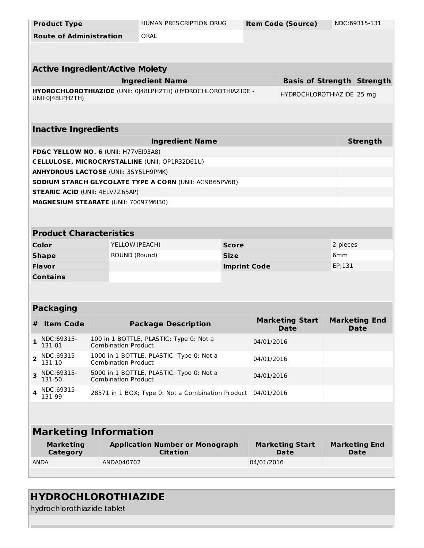|                                                                                 | <b>Product Type</b>                                                                                             |                                                                                      |                            | <b>HUMAN PRESCRIPTION DRUG</b>                            |             |                     | <b>Item Code (Source)</b>             |        | NDC:69315-131                       |  |  |
|---------------------------------------------------------------------------------|-----------------------------------------------------------------------------------------------------------------|--------------------------------------------------------------------------------------|----------------------------|-----------------------------------------------------------|-------------|---------------------|---------------------------------------|--------|-------------------------------------|--|--|
|                                                                                 | <b>Route of Administration</b>                                                                                  |                                                                                      |                            | ORAL                                                      |             |                     |                                       |        |                                     |  |  |
|                                                                                 |                                                                                                                 |                                                                                      |                            |                                                           |             |                     |                                       |        |                                     |  |  |
|                                                                                 | <b>Active Ingredient/Active Moiety</b>                                                                          |                                                                                      |                            |                                                           |             |                     |                                       |        |                                     |  |  |
| <b>Ingredient Name</b><br><b>Basis of Strength Strength</b>                     |                                                                                                                 |                                                                                      |                            |                                                           |             |                     |                                       |        |                                     |  |  |
|                                                                                 | HYDROCHLOROTHIAZIDE (UNII: 0)48LPH2TH) (HYDROCHLOROTHIAZIDE -<br>HYDROCHLOROTHIAZIDE 25 mg<br>UNII: 0J48LPH2TH) |                                                                                      |                            |                                                           |             |                     |                                       |        |                                     |  |  |
|                                                                                 |                                                                                                                 |                                                                                      |                            |                                                           |             |                     |                                       |        |                                     |  |  |
|                                                                                 | <b>Inactive Ingredients</b>                                                                                     |                                                                                      |                            |                                                           |             |                     |                                       |        |                                     |  |  |
|                                                                                 | <b>Strength</b><br><b>Ingredient Name</b>                                                                       |                                                                                      |                            |                                                           |             |                     |                                       |        |                                     |  |  |
|                                                                                 | FD&C YELLOW NO. 6 (UNII: H77VEI93A8)                                                                            |                                                                                      |                            |                                                           |             |                     |                                       |        |                                     |  |  |
|                                                                                 |                                                                                                                 |                                                                                      |                            | CELLULOSE, MICROCRYSTALLINE (UNII: OP1R32D61U)            |             |                     |                                       |        |                                     |  |  |
|                                                                                 | <b>ANHYDROUS LACTOSE (UNII: 3SY5LH9PMK)</b>                                                                     |                                                                                      |                            |                                                           |             |                     |                                       |        |                                     |  |  |
|                                                                                 |                                                                                                                 |                                                                                      |                            | SODIUM STARCH GLYCOLATE TYPE A CORN (UNII: AG9B65PV6B)    |             |                     |                                       |        |                                     |  |  |
| <b>STEARIC ACID (UNII: 4ELV7Z65AP)</b><br>MAGNESIUM STEARATE (UNII: 70097M6I30) |                                                                                                                 |                                                                                      |                            |                                                           |             |                     |                                       |        |                                     |  |  |
|                                                                                 |                                                                                                                 |                                                                                      |                            |                                                           |             |                     |                                       |        |                                     |  |  |
|                                                                                 |                                                                                                                 |                                                                                      |                            |                                                           |             |                     |                                       |        |                                     |  |  |
|                                                                                 | <b>Product Characteristics</b>                                                                                  |                                                                                      |                            |                                                           |             |                     |                                       |        |                                     |  |  |
|                                                                                 | YELLOW (PEACH)<br>2 pieces<br>Color<br><b>Score</b>                                                             |                                                                                      |                            |                                                           |             |                     |                                       |        |                                     |  |  |
| ROUND (Round)<br><b>Shape</b>                                                   |                                                                                                                 |                                                                                      |                            |                                                           | <b>Size</b> |                     |                                       | 6mm    |                                     |  |  |
|                                                                                 | Flavor                                                                                                          |                                                                                      |                            |                                                           |             | <b>Imprint Code</b> |                                       | EP;131 |                                     |  |  |
|                                                                                 | <b>Contains</b>                                                                                                 |                                                                                      |                            |                                                           |             |                     |                                       |        |                                     |  |  |
|                                                                                 |                                                                                                                 |                                                                                      |                            |                                                           |             |                     |                                       |        |                                     |  |  |
|                                                                                 |                                                                                                                 |                                                                                      |                            |                                                           |             |                     |                                       |        |                                     |  |  |
|                                                                                 | <b>Packaging</b>                                                                                                |                                                                                      |                            |                                                           |             |                     |                                       |        |                                     |  |  |
| #                                                                               | <b>Item Code</b>                                                                                                |                                                                                      |                            | <b>Package Description</b>                                |             |                     | <b>Marketing Start</b><br><b>Date</b> |        | <b>Marketing End</b><br><b>Date</b> |  |  |
| 1                                                                               | NDC:69315-<br>131-01                                                                                            |                                                                                      | <b>Combination Product</b> | 100 in 1 BOTTLE, PLASTIC; Type 0: Not a                   |             | 04/01/2016          |                                       |        |                                     |  |  |
| $\overline{\mathbf{2}}$                                                         | NDC:69315-<br>131-10                                                                                            | 1000 in 1 BOTTLE, PLASTIC; Type 0: Not a<br><b>Combination Product</b>               |                            |                                                           |             | 04/01/2016          |                                       |        |                                     |  |  |
| 3                                                                               | NDC:69315-<br>131-50                                                                                            | 5000 in 1 BOTTLE, PLASTIC; Type 0: Not a<br>04/01/2016<br><b>Combination Product</b> |                            |                                                           |             |                     |                                       |        |                                     |  |  |
| 4                                                                               | NDC:69315-<br>131-99                                                                                            | 28571 in 1 BOX; Type 0: Not a Combination Product<br>04/01/2016                      |                            |                                                           |             |                     |                                       |        |                                     |  |  |
|                                                                                 |                                                                                                                 |                                                                                      |                            |                                                           |             |                     |                                       |        |                                     |  |  |
|                                                                                 | <b>Marketing Information</b>                                                                                    |                                                                                      |                            |                                                           |             |                     |                                       |        |                                     |  |  |
|                                                                                 | <b>Marketing</b><br>Category                                                                                    |                                                                                      |                            | <b>Application Number or Monograph</b><br><b>Citation</b> |             |                     | <b>Marketing Start</b><br>Date        |        | <b>Marketing End</b><br><b>Date</b> |  |  |
|                                                                                 | <b>ANDA</b>                                                                                                     |                                                                                      | ANDA040702                 |                                                           |             | 04/01/2016          |                                       |        |                                     |  |  |
|                                                                                 |                                                                                                                 |                                                                                      |                            |                                                           |             |                     |                                       |        |                                     |  |  |

# **HYDROCHLOROTHIAZIDE**

hydrochlorothiazide tablet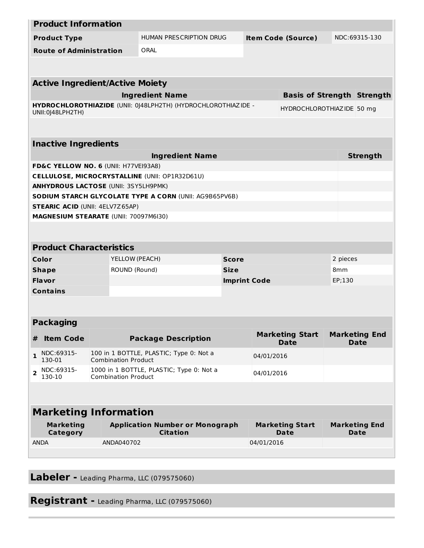|                | <b>Product Information</b>                                                                                     |                                        |                                                                        |                                        |                     |                                       |                 |                                     |  |  |  |
|----------------|----------------------------------------------------------------------------------------------------------------|----------------------------------------|------------------------------------------------------------------------|----------------------------------------|---------------------|---------------------------------------|-----------------|-------------------------------------|--|--|--|
|                | <b>Product Type</b>                                                                                            |                                        |                                                                        | HUMAN PRESCRIPTION DRUG                |                     | <b>Item Code (Source)</b>             |                 | NDC:69315-130                       |  |  |  |
|                |                                                                                                                | <b>Route of Administration</b><br>ORAL |                                                                        |                                        |                     |                                       |                 |                                     |  |  |  |
|                |                                                                                                                |                                        |                                                                        |                                        |                     |                                       |                 |                                     |  |  |  |
|                |                                                                                                                |                                        |                                                                        |                                        |                     |                                       |                 |                                     |  |  |  |
|                |                                                                                                                |                                        | <b>Active Ingredient/Active Moiety</b>                                 |                                        |                     |                                       |                 |                                     |  |  |  |
|                |                                                                                                                |                                        | <b>Ingredient Name</b>                                                 |                                        |                     | <b>Basis of Strength Strength</b>     |                 |                                     |  |  |  |
|                | HYDROCHLOROTHIAZIDE (UNII: 0J48LPH2TH) (HYDROCHLOROTHIAZIDE -<br>HYDROCHLOROTHIAZIDE 50 mg<br>UNII:0J48LPH2TH) |                                        |                                                                        |                                        |                     |                                       |                 |                                     |  |  |  |
|                |                                                                                                                |                                        |                                                                        |                                        |                     |                                       |                 |                                     |  |  |  |
|                | <b>Inactive Ingredients</b><br><b>Ingredient Name</b>                                                          |                                        |                                                                        |                                        |                     |                                       |                 |                                     |  |  |  |
|                | FD&C YELLOW NO. 6 (UNII: H77VEI93A8)                                                                           |                                        |                                                                        |                                        |                     |                                       |                 | <b>Strength</b>                     |  |  |  |
|                |                                                                                                                |                                        | CELLULOSE, MICROCRYSTALLINE (UNII: OP1R32D61U)                         |                                        |                     |                                       |                 |                                     |  |  |  |
|                |                                                                                                                |                                        | <b>ANHYDROUS LACTOSE (UNII: 3SY5LH9PMK)</b>                            |                                        |                     |                                       |                 |                                     |  |  |  |
|                | SODIUM STARCH GLYCOLATE TYPE A CORN (UNII: AG9B65PV6B)                                                         |                                        |                                                                        |                                        |                     |                                       |                 |                                     |  |  |  |
|                | <b>STEARIC ACID (UNII: 4ELV7Z65AP)</b>                                                                         |                                        |                                                                        |                                        |                     |                                       |                 |                                     |  |  |  |
|                | MAGNESIUM STEARATE (UNII: 70097M6I30)                                                                          |                                        |                                                                        |                                        |                     |                                       |                 |                                     |  |  |  |
|                |                                                                                                                |                                        |                                                                        |                                        |                     |                                       |                 |                                     |  |  |  |
|                | <b>Product Characteristics</b>                                                                                 |                                        |                                                                        |                                        |                     |                                       |                 |                                     |  |  |  |
|                | Color                                                                                                          |                                        | YELLOW (PEACH)                                                         | <b>Score</b>                           |                     |                                       | 2 pieces        |                                     |  |  |  |
|                | <b>Shape</b>                                                                                                   |                                        | ROUND (Round)                                                          | <b>Size</b>                            |                     |                                       | 8 <sub>mm</sub> |                                     |  |  |  |
|                | <b>Flavor</b>                                                                                                  |                                        |                                                                        |                                        | <b>Imprint Code</b> |                                       | EP;130          |                                     |  |  |  |
|                | <b>Contains</b>                                                                                                |                                        |                                                                        |                                        |                     |                                       |                 |                                     |  |  |  |
|                |                                                                                                                |                                        |                                                                        |                                        |                     |                                       |                 |                                     |  |  |  |
|                | <b>Packaging</b>                                                                                               |                                        |                                                                        |                                        |                     |                                       |                 |                                     |  |  |  |
| #              | <b>Item Code</b>                                                                                               |                                        | <b>Package Description</b>                                             |                                        |                     | <b>Marketing Start</b><br><b>Date</b> |                 | <b>Marketing End</b><br><b>Date</b> |  |  |  |
| 1              | NDC:69315-<br>130-01                                                                                           |                                        | 100 in 1 BOTTLE, PLASTIC; Type 0: Not a<br><b>Combination Product</b>  |                                        | 04/01/2016          |                                       |                 |                                     |  |  |  |
| $\overline{2}$ | NDC:69315-<br>130-10                                                                                           |                                        | 1000 in 1 BOTTLE, PLASTIC; Type 0: Not a<br><b>Combination Product</b> |                                        | 04/01/2016          |                                       |                 |                                     |  |  |  |
|                |                                                                                                                |                                        |                                                                        |                                        |                     |                                       |                 |                                     |  |  |  |
|                | <b>Marketing Information</b>                                                                                   |                                        |                                                                        |                                        |                     |                                       |                 |                                     |  |  |  |
|                | <b>Marketing</b><br>Category                                                                                   |                                        | <b>Citation</b>                                                        | <b>Application Number or Monograph</b> |                     | <b>Marketing Start</b><br><b>Date</b> |                 | <b>Marketing End</b><br><b>Date</b> |  |  |  |
|                | <b>ANDA</b>                                                                                                    |                                        | ANDA040702                                                             |                                        | 04/01/2016          |                                       |                 |                                     |  |  |  |
|                |                                                                                                                |                                        |                                                                        |                                        |                     |                                       |                 |                                     |  |  |  |

**Labeler -** Leading Pharma, LLC (079575060)

**Registrant -** Leading Pharma, LLC (079575060)